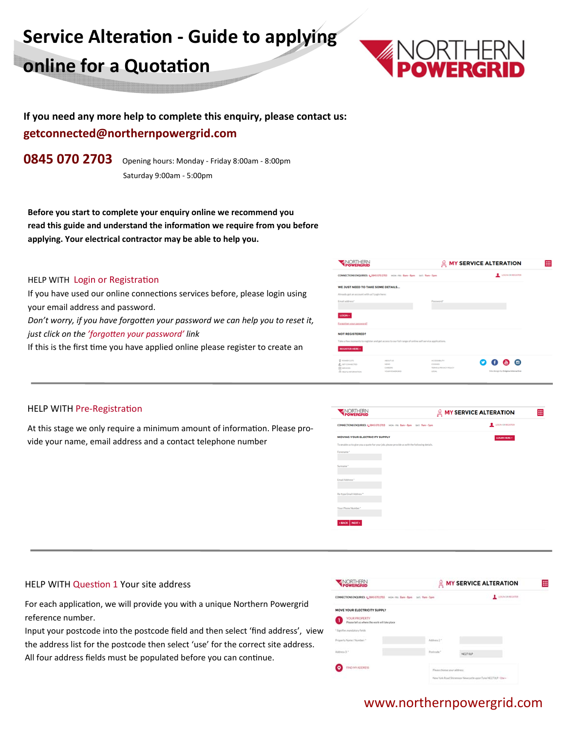# **Service AlteraƟon ‐ Guide to applying online for a Quotation**



## **If you need any more help to complete this enquiry, please contact us: getconnected@northernpowergrid.com**

**0845 070 2703** Opening hours: Monday ‐ Friday 8:00am ‐ 8:00pm Saturday 9:00am ‐ 5:00pm

**Before you start to complete your enquiry online we recommend you read this guide and understand the information we require from you before applying. Your electrical contractor may be able to help you.** 

#### HELP WITH Login or Registration

If you have used our online connections services before, please login using your email address and password.

*Don't worry, if you have forgotten your password we can help you to reset it, just click on the 'forgoƩen your password' link* 

If this is the first time you have applied online please register to create an

| <b>POWERGRID</b>                                                                                                                                                 |                                                                       | <b>A MY SERVICE ALTERATION</b>                                   |
|------------------------------------------------------------------------------------------------------------------------------------------------------------------|-----------------------------------------------------------------------|------------------------------------------------------------------|
| CONNECTIONS ENQUIRIES: 4_0845/070 2703 MON-FR: Barn - Bom - SAT: 'Fam - Som                                                                                      |                                                                       | LOGN OR REGISTER                                                 |
| WE JUST NEED TO TAKE SOME DETAILS<br>Already and an account with us? Login here:<br>Email address*                                                               | Password*                                                             |                                                                  |
| LOGIN »<br>Forgotten your password?<br><b>NOT REGISTERED?</b>                                                                                                    |                                                                       |                                                                  |
| Take a few moments to register and get access to our full range of online self service applications.<br>REGISTER HERE »                                          |                                                                       |                                                                  |
| <b>B</b> <i>HOWER CUTS</i><br>ABOUT US<br><b>Р.</b> отголностко<br><b>MOVIE</b><br>III servees<br>CAREERS<br>YOUR ROWERGED<br>(T) with the institutional Parties | ACCORDO PV<br><b>COOKUES</b><br>TERMEL PRODUCT FOLICY<br><b>LEGAL</b> | $\bullet$ $\bullet$ $\circ$<br>Site design by Enigma Interactive |

#### HELP WITH Pre-Registration

At this stage we only require a minimum amount of information. Please provide your name, email address and a contact telephone number



#### HELP WITH Question 1 Your site address

For each application, we will provide you with a unique Northern Powergrid reference number.

Input your postcode into the postcode field and then select 'find address', view the address list for the postcode then select 'use' for the correct site address. All four address fields must be populated before you can continue.

| <b>POWERGRID</b>                                                      |                                                              | <b>MY SERVICE ALTERATION</b> | 冊 |
|-----------------------------------------------------------------------|--------------------------------------------------------------|------------------------------|---|
| CONNECTIONS ENQUIRIES: L.08450702703 vote res Bars-Bars set; Yam-Sam  |                                                              | LOCALISTICITIE               |   |
| MOVE YOUR ELECTRICITY SUPPLY                                          |                                                              |                              |   |
| <b>YOUR FROPERTY</b><br>Please tell us where the work will take place |                                                              |                              |   |
| * Signifies mandatory fields                                          |                                                              |                              |   |
| Property Name / Number 1<br>and a street with the pro-                | Address 2.1                                                  |                              |   |
| <b>Market President</b><br>Address 3.5                                | Postmade."                                                   | NE270UP                      |   |
| <b>TRIO MY ADDRESS</b>                                                | Please choose your address:                                  |                              |   |
|                                                                       | New York Road Shiremony Newslettle upon Tune NEZPOUP - Use + |                              |   |

### www.northernpowergrid.com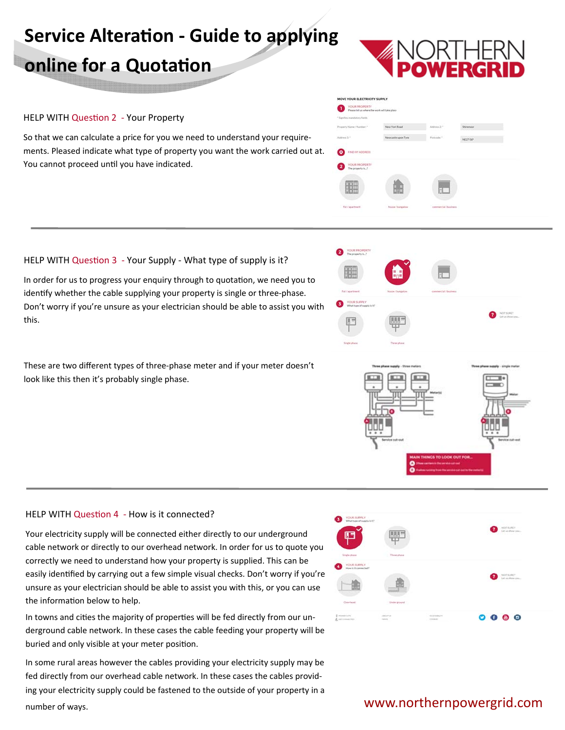# **Service AlteraƟon ‐ Guide to applying**

## **online for a Quotation**

#### HELP WITH Question 2 - Your Property

So that we can calculate a price for you we need to understand your require‐ ments. Pleased indicate what type of property you want the work carried out at. You cannot proceed until you have indicated.



#### HELP WITH Question 3 - Your Supply - What type of supply is it?

In order for us to progress your enquiry through to quotation, we need you to identify whether the cable supplying your property is single or three-phase. Don't worry if you're unsure as your electrician should be able to assist you with this.

These are two different types of three-phase meter and if your meter doesn't look like this then it's probably single phase.

#### HELP WITH Question 4 - How is it connected?

Your electricity supply will be connected either directly to our underground cable network or directly to our overhead network. In order for us to quote you correctly we need to understand how your property is supplied. This can be easily identified by carrying out a few simple visual checks. Don't worry if you're unsure as your electrician should be able to assist you with this, or you can use the information below to help.

In towns and cities the majority of properties will be fed directly from our underground cable network. In these cases the cable feeding your property will be buried and only visible at your meter position.

In some rural areas however the cables providing your electricity supply may be fed directly from our overhead cable network. In these cases the cables provid‐ ing your electricity supply could be fastened to the outside of your property in a number of ways.



# YOUR PROPERT 疆



## www.northernpowergrid.com

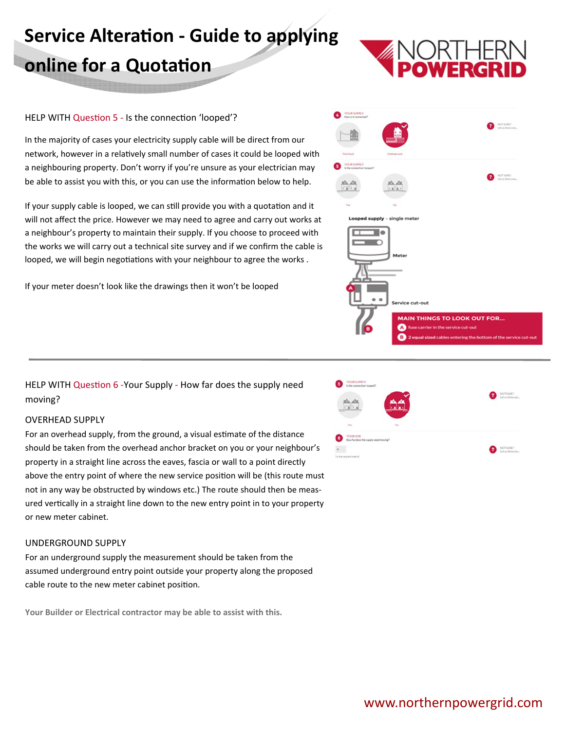# **Service AlteraƟon ‐ Guide to applying online for a Quotation**

#### HELP WITH Question 5 - Is the connection 'looped'?

In the majority of cases your electricity supply cable will be direct from our network, however in a relatively small number of cases it could be looped with a neighbouring property. Don't worry if you're unsure as your electrician may be able to assist you with this, or you can use the information below to help.

If your supply cable is looped, we can still provide you with a quotation and it will not affect the price. However we may need to agree and carry out works at a neighbour's property to maintain their supply. If you choose to proceed with the works we will carry out a technical site survey and if we confirm the cable is looped, we will begin negotiations with your neighbour to agree the works.

If your meter doesn't look like the drawings then it won't be looped



HELP WITH Question 6 -Your Supply - How far does the supply need moving?

#### OVERHEAD SUPPLY

For an overhead supply, from the ground, a visual estimate of the distance should be taken from the overhead anchor bracket on you or your neighbour's property in a straight line across the eaves, fascia or wall to a point directly above the entry point of where the new service position will be (this route must not in any way be obstructed by windows etc.) The route should then be meas‐ ured vertically in a straight line down to the new entry point in to your property or new meter cabinet.

#### UNDERGROUND SUPPLY

For an underground supply the measurement should be taken from the assumed underground entry point outside your property along the proposed cable route to the new meter cabinet position.

**Your Builder or Electrical contractor may be able to assist with this.** 

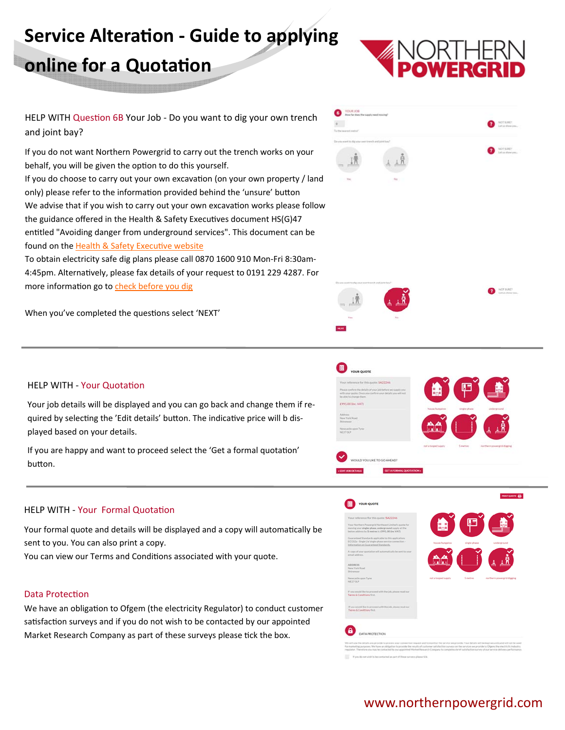# **Service AlteraƟon ‐ Guide to applying online for a Quotation**



HELP WITH Question 6B Your Job - Do you want to dig your own trench and joint bay?

If you do not want Northern Powergrid to carry out the trench works on your behalf, you will be given the option to do this yourself. If you do choose to carry out your own excavation (on your own property / land only) please refer to the information provided behind the 'unsure' button We advise that if you wish to carry out your own excavation works please follow the guidance offered in the Health & Safety Executives document HS(G)47 entitled "Avoiding danger from underground services". This document can be found on the Health & Safety Executive website

To obtain electricity safe dig plans please call 0870 1600 910 Mon‐Fri 8:30am‐ 4:45pm. Alternatively, please fax details of your request to 0191 229 4287. For more information go to check before you dig

When you've completed the questions select 'NEXT'



#### HELP WITH - Your Quotation

Your job details will be displayed and you can go back and change them if re‐ quired by selecting the 'Edit details' button. The indicative price will b displayed based on your details.

If you are happy and want to proceed select the 'Get a formal quotation' buƩon.

#### HELP WITH - Your Formal Quotation

Your formal quote and details will be displayed and a copy will automatically be sent to you. You can also print a copy.

You can view our Terms and Conditions associated with your quote.

#### Data Protection

We have an obligation to Ofgem (the electricity Regulator) to conduct customer satisfaction surveys and if you do not wish to be contacted by our appointed Market Research Company as part of these surveys please tick the box.





## www.northernpowergrid.com